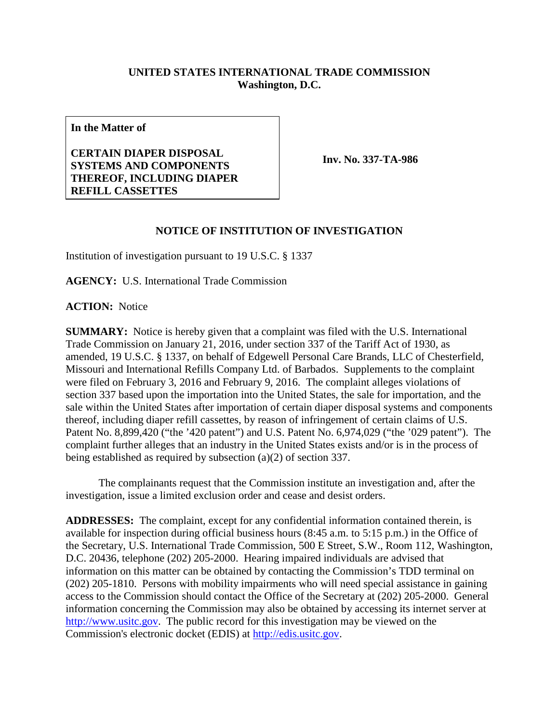## **UNITED STATES INTERNATIONAL TRADE COMMISSION Washington, D.C.**

**In the Matter of**

## **CERTAIN DIAPER DISPOSAL SYSTEMS AND COMPONENTS THEREOF, INCLUDING DIAPER REFILL CASSETTES**

**Inv. No. 337-TA-986**

## **NOTICE OF INSTITUTION OF INVESTIGATION**

Institution of investigation pursuant to 19 U.S.C. § 1337

**AGENCY:** U.S. International Trade Commission

**ACTION:** Notice

**SUMMARY:** Notice is hereby given that a complaint was filed with the U.S. International Trade Commission on January 21, 2016, under section 337 of the Tariff Act of 1930, as amended, 19 U.S.C. § 1337, on behalf of Edgewell Personal Care Brands, LLC of Chesterfield, Missouri and International Refills Company Ltd. of Barbados. Supplements to the complaint were filed on February 3, 2016 and February 9, 2016. The complaint alleges violations of section 337 based upon the importation into the United States, the sale for importation, and the sale within the United States after importation of certain diaper disposal systems and components thereof, including diaper refill cassettes, by reason of infringement of certain claims of U.S. Patent No. 8,899,420 ("the '420 patent") and U.S. Patent No. 6,974,029 ("the '029 patent"). The complaint further alleges that an industry in the United States exists and/or is in the process of being established as required by subsection (a)(2) of section 337.

The complainants request that the Commission institute an investigation and, after the investigation, issue a limited exclusion order and cease and desist orders.

**ADDRESSES:** The complaint, except for any confidential information contained therein, is available for inspection during official business hours (8:45 a.m. to 5:15 p.m.) in the Office of the Secretary, U.S. International Trade Commission, 500 E Street, S.W., Room 112, Washington, D.C. 20436, telephone (202) 205-2000. Hearing impaired individuals are advised that information on this matter can be obtained by contacting the Commission's TDD terminal on (202) 205-1810. Persons with mobility impairments who will need special assistance in gaining access to the Commission should contact the Office of the Secretary at (202) 205-2000. General information concerning the Commission may also be obtained by accessing its internet server at [http://www.usitc.gov.](http://www.usitc.gov/) The public record for this investigation may be viewed on the Commission's electronic docket (EDIS) at [http://edis.usitc.gov.](http://edis.usitc.gov/)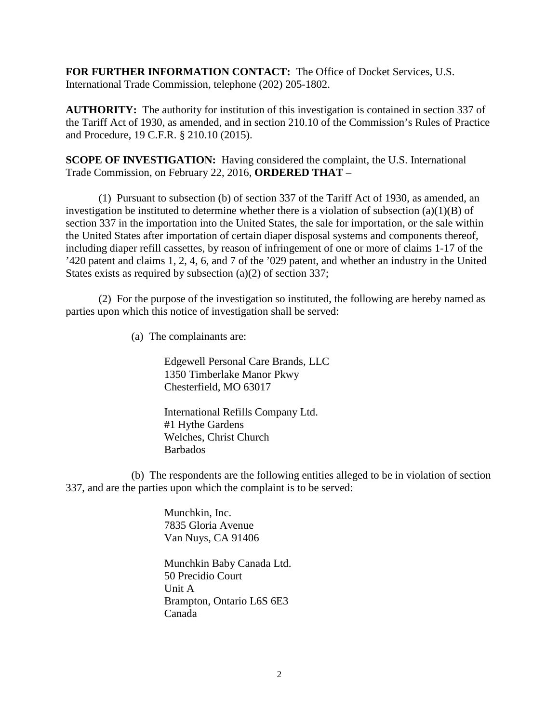**FOR FURTHER INFORMATION CONTACT:** The Office of Docket Services, U.S. International Trade Commission, telephone (202) 205-1802.

**AUTHORITY:** The authority for institution of this investigation is contained in section 337 of the Tariff Act of 1930, as amended, and in section 210.10 of the Commission's Rules of Practice and Procedure, 19 C.F.R. § 210.10 (2015).

**SCOPE OF INVESTIGATION:** Having considered the complaint, the U.S. International Trade Commission, on February 22, 2016, **ORDERED THAT** –

(1) Pursuant to subsection (b) of section 337 of the Tariff Act of 1930, as amended, an investigation be instituted to determine whether there is a violation of subsection  $(a)(1)(B)$  of section 337 in the importation into the United States, the sale for importation, or the sale within the United States after importation of certain diaper disposal systems and components thereof, including diaper refill cassettes, by reason of infringement of one or more of claims 1-17 of the '420 patent and claims 1, 2, 4, 6, and 7 of the '029 patent, and whether an industry in the United States exists as required by subsection (a)(2) of section 337;

(2) For the purpose of the investigation so instituted, the following are hereby named as parties upon which this notice of investigation shall be served:

(a) The complainants are:

Edgewell Personal Care Brands, LLC 1350 Timberlake Manor Pkwy Chesterfield, MO 63017

International Refills Company Ltd. #1 Hythe Gardens Welches, Christ Church Barbados

(b) The respondents are the following entities alleged to be in violation of section 337, and are the parties upon which the complaint is to be served:

> Munchkin, Inc. 7835 Gloria Avenue Van Nuys, CA 91406

Munchkin Baby Canada Ltd. 50 Precidio Court Unit A Brampton, Ontario L6S 6E3 Canada